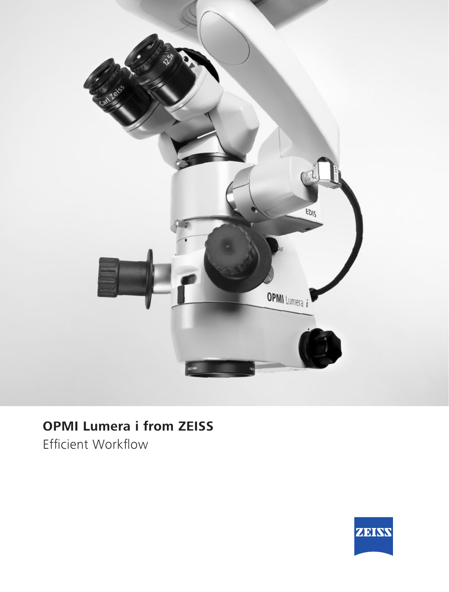

# **OPMI Lumera i from ZEISS**

Efficient Workflow

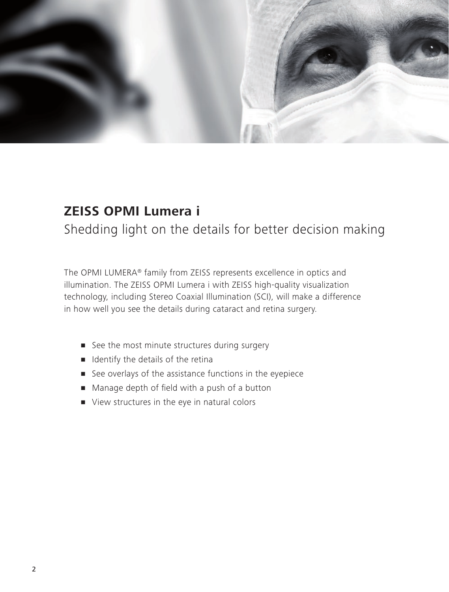

## **ZEISS OPMI Lumera i**

Shedding light on the details for better decision making

The OPMI LUMERA® family from ZEISS represents excellence in optics and illumination. The ZEISS OPMI Lumera i with ZEISS high-quality visualization technology, including Stereo Coaxial Illumination (SCI), will make a difference in how well you see the details during cataract and retina surgery.

- **•** See the most minute structures during surgery
- **If** Identify the details of the retina
- See overlays of the assistance functions in the eyepiece
- Manage depth of field with a push of a button
- View structures in the eye in natural colors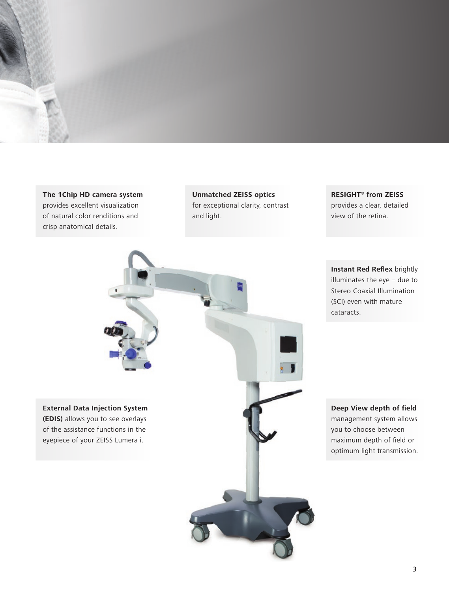

**The 1Chip HD camera system** provides excellent visualization of natural color renditions and crisp anatomical details.

**Unmatched ZEISS optics** for exceptional clarity, contrast and light.

**RESIGHT® from ZEISS** provides a clear, detailed view of the retina.



**Instant Red Reflex** brightly illuminates the eye – due to Stereo Coaxial Illumination (SCI) even with mature cataracts.

**Deep View depth of field** management system allows you to choose between maximum depth of field or optimum light transmission.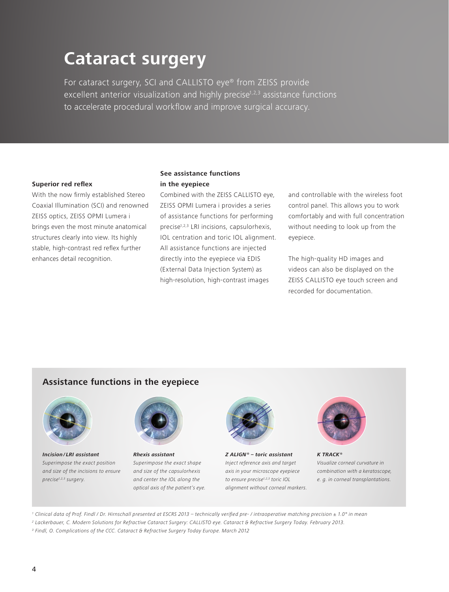# **Cataract surgery**

For cataract surgery, SCI and CALLISTO eye® from ZEISS provide excellent anterior visualization and highly precise<sup>1,2,3</sup> assistance functions to accelerate procedural workflow and improve surgical accuracy.

#### **Superior red reflex**

With the now firmly established Stereo Coaxial Illumination (SCI) and renowned ZEISS optics, ZEISS OPMI Lumera i brings even the most minute anatomical structures clearly into view. Its highly stable, high-contrast red reflex further enhances detail recognition.

#### **See assistance functions in the eyepiece**

Combined with the ZEISS CALLISTO eye, ZEISS OPMI Lumera i provides a series of assistance functions for performing precise<sup>1,2,3</sup> LRI incisions, capsulorhexis, IOL centration and toric IOL alignment. All assistance functions are injected directly into the eyepiece via EDIS (External Data Injection System) as high-resolution, high-contrast images

and controllable with the wireless foot control panel. This allows you to work comfortably and with full concentration without needing to look up from the eyepiece.

The high-quality HD images and videos can also be displayed on the ZEISS CALLISTO eye touch screen and recorded for documentation.

#### **Assistance functions in the eyepiece**



**Incision / LRI assistant** Superimpose the exact position and size of the incisions to ensure precise<sup>1,2,3</sup> surgery.



**Rhexis assistant** Superimpose the exact shape and size of the capsulorhexis and center the IOL along the optical axis of the patient's eye.



**Z ALIGN ® – toric assistant** Inject reference axis and target axis in your microscope eyepiece to ensure precise<sup>1,2,3</sup> toric IOL alignment without corneal markers.



**K TRACK ®** Visualize corneal curvature in combination with a keratoscope, e. g. in corneal transplantations.

1 Clinical data of Prof. Findl / Dr. Hirnschall presented at ESCRS 2013 – technically verified pre- / intraoperative matching precision ± 1.0° in mean

2 Lackerbauer, C. Modern Solutions for Refractive Cataract Surgery: CALLISTO eye. Cataract & Refractive Surgery Today. February 2013.

<sup>3</sup> Findl, O. Complications of the CCC. Cataract & Refractive Surgery Today Europe. March 2012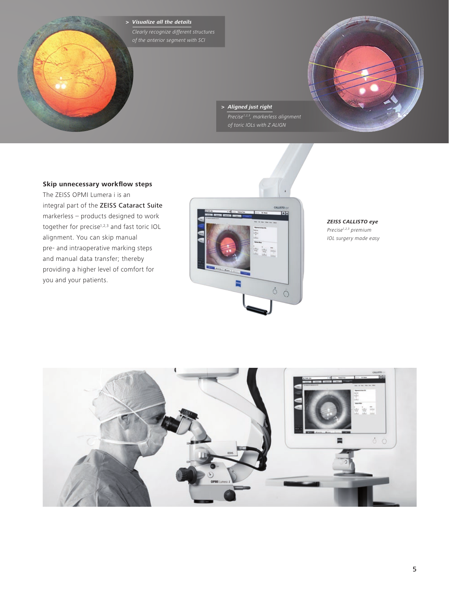**> Visualize all the details**  Clearly recognize different structures of the anterior segment with SCI

> **> Aligned just right**   $\overline{Precise^{1,2,3},$  markerless alignment of toric IOLs with Z ALIGN

#### **Skip unnecessary workflow steps**

The ZEISS OPMI Lumera i is an integral part of the ZEISS Cataract Suite markerless – products designed to work together for precise<sup>1,2,3</sup> and fast toric IOL alignment. You can skip manual pre- and intraoperative marking steps and manual data transfer; thereby providing a higher level of comfort for you and your patients.



**ZEISS CALLISTO eye** Precise<sup>1,2,3</sup> premium IOL surgery made easy

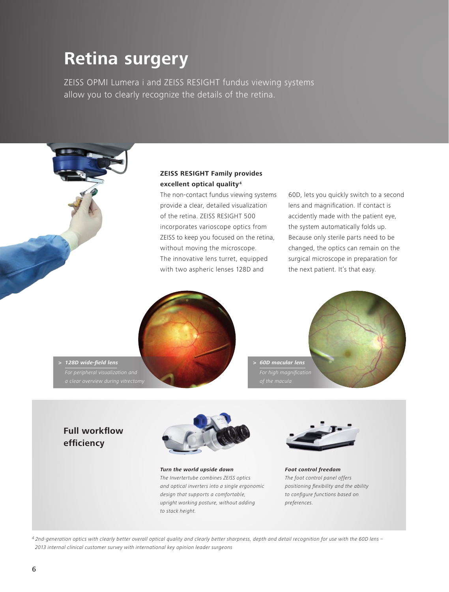# **Retina surgery**

ZEISS OPMI Lumera i and ZEISS RESIGHT fundus viewing systems allow you to clearly recognize the details of the retina.

#### **ZEISS RESIGHT Family provides excellent optical quality4**

The non-contact fundus viewing systems provide a clear, detailed visualization of the retina. ZEISS RESIGHT 500 incorporates varioscope optics from ZEISS to keep you focused on the retina, without moving the microscope. The innovative lens turret, equipped with two aspheric lenses 128D and

60D, lets you quickly switch to a second lens and magnification. If contact is accidently made with the patient eye, the system automatically folds up. Because only sterile parts need to be changed, the optics can remain on the surgical microscope in preparation for the next patient. It's that easy.





### **> 128D wide-field lens**  For peripheral visualization and

#### **Full workflow efficiency**



**Turn the world upside down** The Invertertube combines ZEISS optics and optical inverters into a single ergonomic design that supports a comfortable, upright working posture, without adding to stack height.



**Foot control freedom** The foot control panel offers positioning flexibility and the ability to configure functions based on preferences.

4 2nd-generation optics with clearly better overall optical quality and clearly better sharpness, depth and detail recognition for use with the 60D lens – 2013 internal clinical customer survey with international key opinion leader surgeons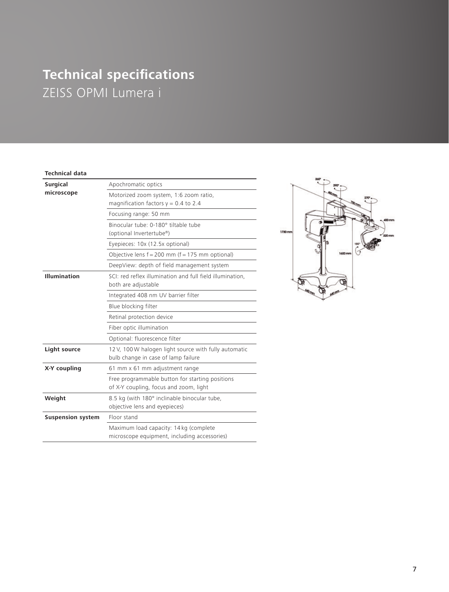## **Technical specifications**  ZEISS OPMI Lumera i

#### **Technical data**

| <b>Surgical</b>          | Apochromatic optics                                                                          |
|--------------------------|----------------------------------------------------------------------------------------------|
| microscope               | Motorized zoom system, 1:6 zoom ratio,<br>magnification factors $y = 0.4$ to 2.4             |
|                          | Focusing range: 50 mm                                                                        |
|                          | Binocular tube: 0-180° tiltable tube<br>(optional Invertertube®)                             |
|                          | Eyepieces: 10x (12.5x optional)                                                              |
|                          | Objective lens $f = 200$ mm ( $f = 175$ mm optional)                                         |
|                          | DeepView: depth of field management system                                                   |
| <b>Illumination</b>      | SCI: red reflex illumination and full field illumination,<br>both are adjustable             |
|                          | Integrated 408 nm UV barrier filter                                                          |
|                          | Blue blocking filter                                                                         |
|                          | Retinal protection device                                                                    |
|                          | Fiber optic illumination                                                                     |
|                          | Optional: fluorescence filter                                                                |
| Light source             | 12 V, 100 W halogen light source with fully automatic<br>bulb change in case of lamp failure |
| X-Y coupling             | 61 mm x 61 mm adjustment range                                                               |
|                          | Free programmable button for starting positions<br>of X-Y coupling, focus and zoom, light    |
| Weight                   | 8.5 kg (with 180° inclinable binocular tube,<br>objective lens and eyepieces)                |
| <b>Suspension system</b> | Floor stand                                                                                  |
|                          | Maximum load capacity: 14 kg (complete<br>microscope equipment, including accessories)       |